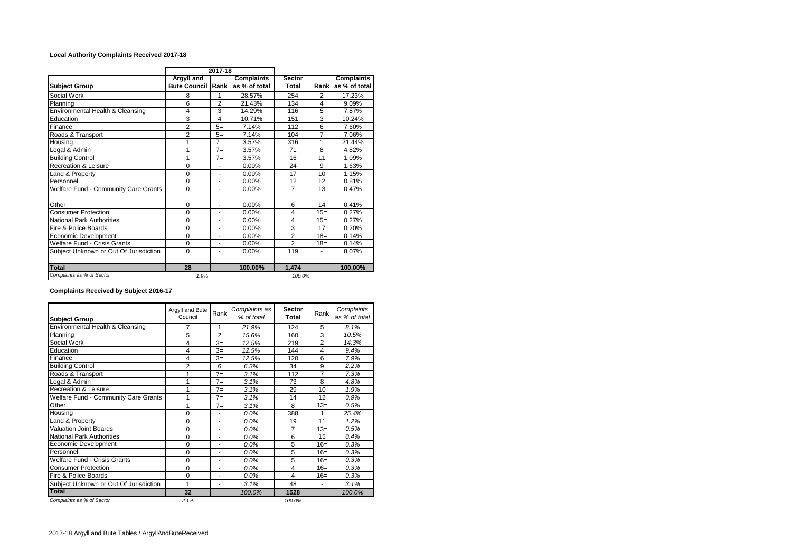## **Local Authority Complaints Received 2017-18**

|                                        |                                               | 2017-18        |                                    |                        |                |                             |  |
|----------------------------------------|-----------------------------------------------|----------------|------------------------------------|------------------------|----------------|-----------------------------|--|
| <b>Subject Group</b>                   | <b>Argyll and</b><br><b>Bute Council Rank</b> |                | <b>Complaints</b><br>as % of total | <b>Sector</b><br>Total | Rank l         | Complaints<br>as % of total |  |
| Social Work                            | 8                                             | 1              | 28.57%                             | 254                    | 2              | 17.23%                      |  |
| Planning                               | 6                                             | $\overline{2}$ | 21.43%                             | 134                    | 4              | 9.09%                       |  |
| Environmental Health & Cleansing       | 4                                             | 3              | 14.29%                             | 116                    | 5              | 7.87%                       |  |
| Education                              | 3                                             | 4              | 10.71%                             | 151                    | 3              | 10.24%                      |  |
| Finance                                | $\overline{2}$                                | $5=$           | 7.14%                              | 112                    | 6              | 7.60%                       |  |
| Roads & Transport                      | $\overline{2}$                                | $5=$           | 7.14%                              | 104                    | $\overline{7}$ | 7.06%                       |  |
| Housing                                | 1                                             | $7=$           | 3.57%                              | 316                    | 1              | 21.44%                      |  |
| Legal & Admin                          | 1                                             | $7 =$          | 3.57%                              | 71                     | 8              | 4.82%                       |  |
| <b>Building Control</b>                | 1                                             | $7=$           | 3.57%                              | 16                     | 11             | 1.09%                       |  |
| Recreation & Leisure                   | $\Omega$                                      | ÷.             | 0.00%                              | 24                     | 9              | 1.63%                       |  |
| Land & Property                        | 0                                             | ٠              | 0.00%                              | 17                     | 10             | 1.15%                       |  |
| Personnel                              | 0                                             | ۰              | 0.00%                              | 12                     | 12             | 0.81%                       |  |
| Welfare Fund - Community Care Grants   | $\Omega$                                      | ۰              | $0.00\%$                           | $\overline{7}$         | 13             | 0.47%                       |  |
| Other                                  | 0                                             | ٠              | 0.00%                              | 6                      | 14             | 0.41%                       |  |
| Consumer Protection                    | $\Omega$                                      | ٠              | 0.00%                              | 4                      | $15=$          | 0.27%                       |  |
| <b>National Park Authorities</b>       | $\mathbf 0$                                   | ٠              | 0.00%                              | 4                      | $15=$          | 0.27%                       |  |
| Fire & Police Boards                   | 0                                             | ٠              | 0.00%                              | 3                      | 17             | 0.20%                       |  |
| Economic Development                   | $\Omega$                                      |                | 0.00%                              | $\overline{2}$         | $18 =$         | 0.14%                       |  |
| Welfare Fund - Crisis Grants           | $\Omega$                                      | ÷.             | 0.00%                              | $\overline{2}$         | $18 =$         | 0.14%                       |  |
| Subject Unknown or Out Of Jurisdiction | $\Omega$                                      | ٠              | $0.00\%$                           | 119                    | ٠              | 8.07%                       |  |
| <b>Total</b>                           | 28                                            |                | 100.00%                            | 1,474                  |                | 100.00%                     |  |
| Complaints as % of Sector              | 1.9%                                          |                |                                    | 100.0%                 |                |                             |  |

## **Complaints Received by Subject 2016-17**

| <b>Subject Group</b>                   | Argyll and Bute<br>Council | Rank           | Complaints as<br>% of total | <b>Sector</b><br>Total | Rank           | Complaints<br>as % of total |
|----------------------------------------|----------------------------|----------------|-----------------------------|------------------------|----------------|-----------------------------|
| Environmental Health & Cleansing       | 7                          | 1              | 21.9%                       | 124                    | 5              | 8.1%                        |
| Planning                               | 5                          | $\overline{2}$ | 15.6%                       | 160                    | 3              | 10.5%                       |
| Social Work                            | 4                          | $3=$           | 12.5%                       | 219                    | $\overline{2}$ | 14.3%                       |
| Education                              | 4                          | $3=$           | 12.5%                       | 144                    | 4              | 9.4%                        |
| Finance                                | 4                          | $3=$           | 12.5%                       | 120                    | 6              | 7.9%                        |
| <b>Building Control</b>                | $\overline{2}$             | 6              | 6.3%                        | 34                     | 9              | 2.2%                        |
| Roads & Transport                      | 1                          | $7=$           | 3.1%                        | 112                    | 7              | 7.3%                        |
| Legal & Admin                          | 1                          | $7 =$          | 3.1%                        | 73                     | 8              | 4.8%                        |
| Recreation & Leisure                   | 1                          | $7=$           | 3.1%                        | 29                     | 10             | 1.9%                        |
| Welfare Fund - Community Care Grants   | 1                          | $7=$           | 3.1%                        | 14                     | 12             | 0.9%                        |
| Other                                  | 1                          | $7=$           | 3.1%                        | 8                      | $13=$          | 0.5%                        |
| Housing                                | $\Omega$                   | ÷.             | 0.0%                        | 388                    | 1              | 25.4%                       |
| Land & Property                        | $\Omega$                   | ä,             | 0.0%                        | 19                     | 11             | 1.2%                        |
| <b>Valuation Joint Boards</b>          | 0                          | ä,             | 0.0%                        | $\overline{7}$         | $13=$          | 0.5%                        |
| <b>National Park Authorities</b>       | 0                          | ÷.             | 0.0%                        | 6                      | 15             | 0.4%                        |
| Economic Development                   | 0                          | ٠              | 0.0%                        | 5                      | $16=$          | 0.3%                        |
| Personnel                              | 0                          | ٠              | 0.0%                        | 5                      | $16=$          | 0.3%                        |
| <b>Welfare Fund - Crisis Grants</b>    | $\mathbf 0$                | ٠              | 0.0%                        | 5                      | $16=$          | 0.3%                        |
| <b>Consumer Protection</b>             | $\Omega$                   | ٠              | 0.0%                        | 4                      | $16=$          | 0.3%                        |
| Fire & Police Boards                   | 0                          | ÷.             | 0.0%                        | 4                      | $16=$          | 0.3%                        |
| Subject Unknown or Out Of Jurisdiction | 1                          | ÷.             | 3.1%                        | 48                     | ٠              | 3.1%                        |
| Total                                  | 32                         |                | 100.0%                      | 1528                   |                | 100.0%                      |
| Complaints as % of Sector              | 2.1%                       |                |                             | 100.0%                 |                |                             |

2017-18 Argyll and Bute Tables / ArgyllAndButeReceived